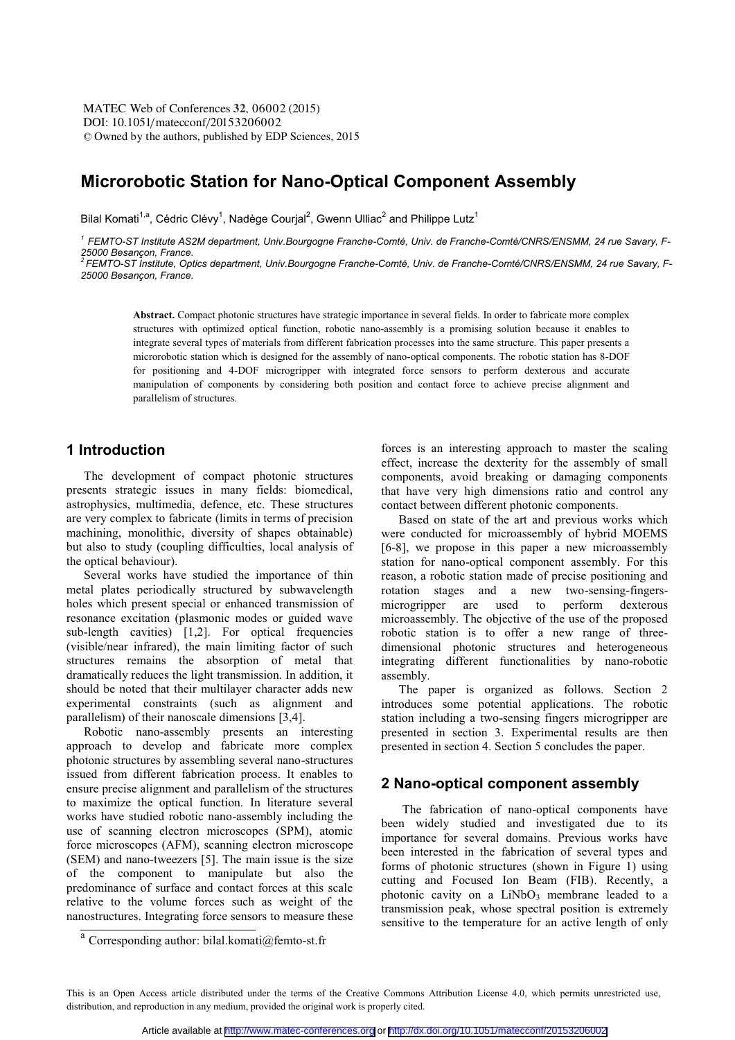# **Microrobotic Station for Nano-Optical Component Assembly**

Bilal Komati<sup>1,a</sup>, Cédric Clévy<sup>1</sup>, Nadège Courjal<sup>2</sup>, Gwenn Ulliac<sup>2</sup> and Philippe Lutz<sup>1</sup>

*<sup>1</sup> FEMTO-ST Institute AS2M department, Univ.Bourgogne Franche-Comté, Univ. de Franche-Comté/CNRS/ENSMM, 24 rue Savary, F-*25000 Besançon, France.<br><sup>2</sup> FEMTO-ST Institute, Optics department, Univ.Bourgogne Franche-Comté, Univ. de Franche-Comté/CNRS/ENSMM, 24 rue Savary, F-

*25000 Besançon, France.* 

**Abstract.** Compact photonic structures have strategic importance in several fields. In order to fabricate more complex structures with optimized optical function, robotic nano-assembly is a promising solution because it enables to integrate several types of materials from different fabrication processes into the same structure. This paper presents a microrobotic station which is designed for the assembly of nano-optical components. The robotic station has 8-DOF for positioning and 4-DOF microgripper with integrated force sensors to perform dexterous and accurate manipulation of components by considering both position and contact force to achieve precise alignment and parallelism of structures.

# **1 Introduction**

The development of compact photonic structures presents strategic issues in many fields: biomedical, astrophysics, multimedia, defence, etc. These structures are very complex to fabricate (limits in terms of precision machining, monolithic, diversity of shapes obtainable) but also to study (coupling difficulties, local analysis of the optical behaviour).

Several works have studied the importance of thin metal plates periodically structured by subwavelength holes which present special or enhanced transmission of resonance excitation (plasmonic modes or guided wave sub-length cavities) [1,2]. For optical frequencies (visible/near infrared), the main limiting factor of such structures remains the absorption of metal that dramatically reduces the light transmission. In addition, it should be noted that their multilayer character adds new experimental constraints (such as alignment and parallelism) of their nanoscale dimensions [3,4].

Robotic nano-assembly presents an interesting approach to develop and fabricate more complex photonic structures by assembling several nano-structures issued from different fabrication process. It enables to ensure precise alignment and parallelism of the structures to maximize the optical function. In literature several works have studied robotic nano-assembly including the use of scanning electron microscopes (SPM), atomic force microscopes (AFM), scanning electron microscope (SEM) and nano-tweezers [5]. The main issue is the size of the component to manipulate but also the predominance of surface and contact forces at this scale relative to the volume forces such as weight of the nanostructures. Integrating force sensors to measure these

forces is an interesting approach to master the scaling effect, increase the dexterity for the assembly of small components, avoid breaking or damaging components that have very high dimensions ratio and control any contact between different photonic components.

Based on state of the art and previous works which were conducted for microassembly of hybrid MOEMS [6-8], we propose in this paper a new microassembly station for nano-optical component assembly. For this reason, a robotic station made of precise positioning and rotation stages and a new two-sensing-fingers-<br>microgripper are used to perform dexterous microgripper are used to perform dexterous microassembly. The objective of the use of the proposed robotic station is to offer a new range of threedimensional photonic structures and heterogeneous integrating different functionalities by nano-robotic assembly.

The paper is organized as follows. Section 2 introduces some potential applications. The robotic station including a two-sensing fingers microgripper are presented in section 3. Experimental results are then presented in section 4. Section 5 concludes the paper.

# **2 Nano-optical component assembly**

 The fabrication of nano-optical components have been widely studied and investigated due to its importance for several domains. Previous works have been interested in the fabrication of several types and forms of photonic structures (shown in Figure 1) using cutting and Focused Ion Beam (FIB). Recently, a photonic cavity on a  $LiNbO<sub>3</sub>$  membrane leaded to a transmission peak, whose spectral position is extremely sensitive to the temperature for an active length of only

<sup>&</sup>lt;sup>a</sup> Corresponding author: bilal.komati@femto-st.fr

This is an Open Access article distributed under the terms of the Creative Commons Attribution License 4.0, which permits unrestricted use, distribution, and reproduction in any medium, provided the original work is properly cited.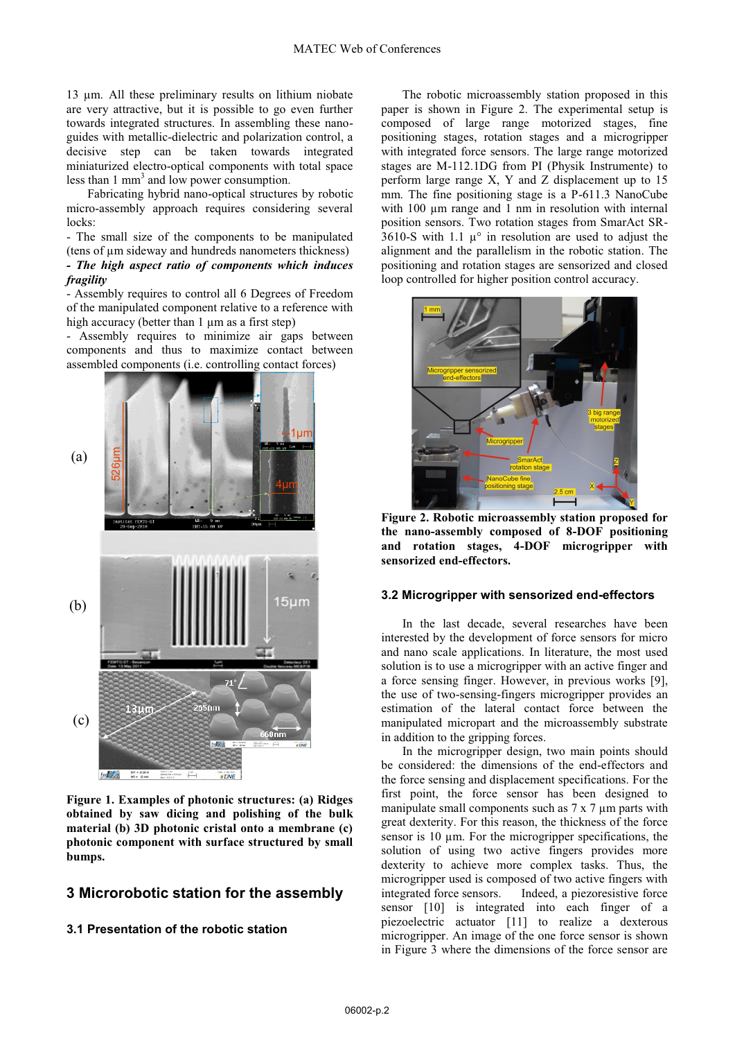13 μm. All these preliminary results on lithium niobate are very attractive, but it is possible to go even further towards integrated structures. In assembling these nanoguides with metallic-dielectric and polarization control, a decisive step can be taken towards integrated miniaturized electro-optical components with total space less than  $1 \text{ mm}^3$  and low power consumption.

 Fabricating hybrid nano-optical structures by robotic micro-assembly approach requires considering several locks:

- The small size of the components to be manipulated (tens of μm sideway and hundreds nanometers thickness)

## *- The high aspect ratio of components which induces fragility*

- Assembly requires to control all 6 Degrees of Freedom of the manipulated component relative to a reference with high accuracy (better than 1 μm as a first step)

- Assembly requires to minimize air gaps between components and thus to maximize contact between assembled components (i.e. controlling contact forces)



**Figure 1. Examples of photonic structures: (a) Ridges obtained by saw dicing and polishing of the bulk material (b) 3D photonic cristal onto a membrane (c) photonic component with surface structured by small bumps.** 

# **3 Microrobotic station for the assembly**

**3.1 Presentation of the robotic station** 

 The robotic microassembly station proposed in this paper is shown in Figure 2. The experimental setup is composed of large range motorized stages, fine positioning stages, rotation stages and a microgripper with integrated force sensors. The large range motorized stages are M-112.1DG from PI (Physik Instrumente) to perform large range X, Y and Z displacement up to 15 mm. The fine positioning stage is a P-611.3 NanoCube with 100  $\mu$ m range and 1 nm in resolution with internal position sensors. Two rotation stages from SmarAct SR-3610-S with 1.1  $\mu^{\circ}$  in resolution are used to adjust the alignment and the parallelism in the robotic station. The positioning and rotation stages are sensorized and closed loop controlled for higher position control accuracy.



**Figure 2. Robotic microassembly station proposed for the nano-assembly composed of 8-DOF positioning and rotation stages, 4-DOF microgripper with sensorized end-effectors.** 

#### **3.2 Microgripper with sensorized end-effectors**

 In the last decade, several researches have been interested by the development of force sensors for micro and nano scale applications. In literature, the most used solution is to use a microgripper with an active finger and a force sensing finger. However, in previous works [9], the use of two-sensing-fingers microgripper provides an estimation of the lateral contact force between the manipulated micropart and the microassembly substrate in addition to the gripping forces.

 In the microgripper design, two main points should be considered: the dimensions of the end-effectors and the force sensing and displacement specifications. For the first point, the force sensor has been designed to manipulate small components such as 7 x 7 μm parts with great dexterity. For this reason, the thickness of the force sensor is 10 μm. For the microgripper specifications, the solution of using two active fingers provides more dexterity to achieve more complex tasks. Thus, the microgripper used is composed of two active fingers with integrated force sensors. Indeed, a piezoresistive force sensor [10] is integrated into each finger of a piezoelectric actuator [11] to realize a dexterous microgripper. An image of the one force sensor is shown in Figure 3 where the dimensions of the force sensor are